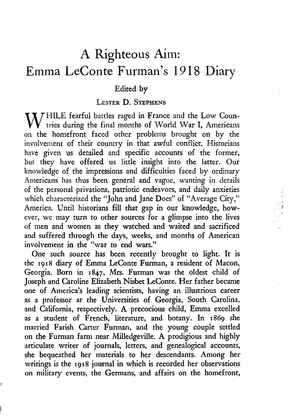## A Righteous Aim: Emma LeConte Furman's 1918 Diary

## **Edited by**

## **LESTER D. STEPHENS**

W HILE fearful battles raged in France and the Low Coun-<br>tries during the final months of World War I, Americans<br>on the homefront faced other problems brought on by the **tries during the final months of World War I, Americans on the homefront faced other problems brought on by the involvement of their country in that awful conflict. Historians have given us detailed and specific accounts of the former, but they have offered us little insight into the latter. Our knowledge of the impressions and difficulties faced by ordinary Americans has thus been general and vague, wanting in details of the personal privations, patriotic endeavors, and daily anxieties which characterized the "John and Jane Does" of "Average City," America. Until historians fill that gap in our knowledge, however, we may turn to other sources for a glimpse into the lives of men and women as they watched and waited and sacrificed and suffered through the days, weeks, and months of American involvement in the "war to end wars."**

**One such source has been recently brought to light. It is the 1918 diary of Emma LeConte Furman, a resident of Macon, Georgia. Born in 1847, Mrs. Furman was the oldest child of Joseph and Caroline Elizabeth Nisbet LeConte. Her father became one of America's leading scientists, having an illustrious career as a professor at the Universities of Georgia, South Carolina, and California, respectively. A precocious child, Emma excelled as a student of French, literature, and botany. In 1869 she married Farish Carter Furman, and the young couple settled on the Furman farm near Milledgeville. A prodigious and highly articulate writer of journals, letters, and genealogical accounts, she bequeathed her materials to her descendants. Among her writings is the 1918 journal in which is recorded her observations on military events, the Germans, and affairs on the homefront,**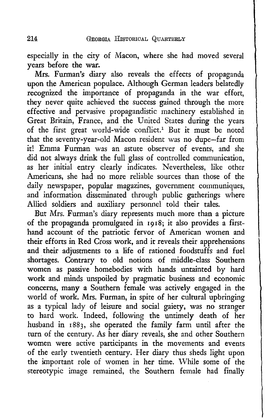**especially in the city of Macon, where she had moved several years before the war.**

**Mrs. Furman's diary also reveals the effects of propaganda upon the American populace. Although German leaders belatedly recognized the importance of propaganda in the war effort, they never quite achieved the success gained through the more** effective and pervasive propagandistic machinery established in **Great Britain, France, and the United States during the years of the first great world-wide conflict.1 But it must be noted that the seventy-year-old Macon resident was no dupe—far from it! Emma Furman was an astute observer of events, and she did not always drink the full glass of controlled communication, as her initial entry clearly indicates. Nevertheless, like other Americans, she had no more reliable sources than those of the daily newspaper, popular magazines, government communiques, and information disseminated through public gatherings where Allied soldiers and auxiliary personnel told their tales.**

**But Mrs. Furman's diary represents much more than a picture of the propaganda promulgated in 1918; it also provides a firsthand account of the patriotic fervor of American women and their efforts in Red Cross work, and it reveals their apprehensions and their adjustments to a life of rationed foodstuffs and fuel shortages. Contrary to old notions of middle-class Southern women as passive homebodies with hands untainted by hard work and minds unspoiled by pragmatic business and economic concerns, many a Southern female was actively engaged in the world of work. Mrs. Furman, in spite of her cultural upbringing as a typical lady of leisure and social gaiety, was no stranger to hard work. Indeed, following the untimely death of her husband in 1883, she operated the family farm until after the turn of the century. As her diary reveals, she and other Southern women were active participants in the movements and events of the early twentieth century. Her diary thus sheds light upon the important role of women in her time. While some of the stereotypic image remained, the Southern female had finally**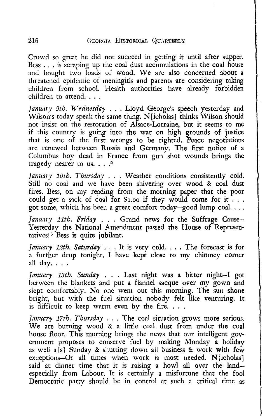**Crowd so great he did not succeed in getting it until after supper. Bess . . . is scraping up the coal dust accumulations in the coal house** and bought two loads of wood. We are also concerned about a **threatened epidemic of meningitis and parents are considering taking children from school. Health authorities have already forbidden children to attend. . . .**

*January 9th. Wednesday . . .* **Lloyd George's speech yesterday and Wilson's today speak the same thing. N [icholas] thinks Wilson should not insist on the restoration of Alsace-Lorraine, but it seems to me if this country is going into the war on high grounds of justice that is one of the first wrongs to be righted. Peace negotiations are renewed between Russia and Germany. The first notice of a Columbus boy dead in France from gun shot wounds brings the** tragedy nearer to us.  $\ldots$ <sup>5</sup>

*January 10th. Thursday . .* **. Weather conditions consistently cold. Still no coal and we have been shivering over wood & coal dust fires. Bess, on my reading from the morning paper that the poor could get a sack of coal for \$i.oo if they would come for it . . . got some, which has been a great comfort today—good lump coal. . . .**

*January 11th. Friday* **. . . Grand news for the Suffrage Cause-Yesterday the National Amendment passed the House of Representatives**!8 **Bess is quite jubilant.**

*January 12th. Saturday* **. . . It is very cold. . . . The forecast is for a further drop tonight. I have kept close to my chimney comer all day. . . .**

*January 13th. Sunday . . .* **Last night was a bitter night—I got between the blankets and put a flannel sacque over my gown and slept comfortably. No one went out this morning. The sun shone bright, but with the fuel situation nobody felt like venturing. It is difficult to keep warm even by the fire. . . .**

*January 17th. Thursday . . .* **The coal situation grows more serious.** We are burning wood & a little coal dust from under the coal **house floor. This morning brings the news that our intelligent government proposes to conserve fuel by making Monday a holiday as well a[s] Sunday & shutting down all business & work with few exceptions—Of all times when work is most needed. N[icholas] said at dinner time that it is raising a howl all over the land especially from Labour. It is certainly a misfortune that the fool Democratic party should be in control at such a critical time as**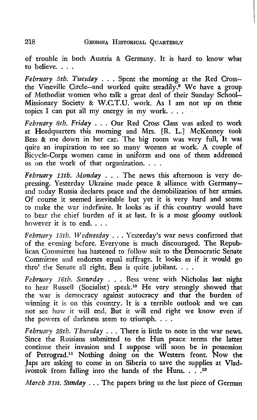**of trouble in both Austria & Germany. It is hard to know what to believe. . . .**

*February 5th. Tuesday* **. . . Spent the morning at the Red Cross** the Vineville Circle—and worked quite steadily.<sup>9</sup> We have a group **of Methodist women who talk a great deal of their Sunday School-Missionary Society & W.C.T.U. work. As I am not up on these topics I can put all my energy in mv work. . . .**

*February 8th. Friday . . .* **Our Red Cross Class was asked to work at Headquarters this morning and Mrs. [R. L.] McKenney took Bess & me down in her car. The big room was very full, It was quite an inspiration to see so many women at work. A couple of Bicycle-Corps women came in uniform and one of them addressed us on the work of that organization. . . .**

*February 11th. Monday . . .* **The news this afternoon is very depressing. Yesterday Ukraine made peace & alliance with Germany and today Russia declares peace and the demobilization of her armies. Of course it seemed inevitable but yet it is very hard and seems to make the war indefinite. It looks as if this country would have to bear the chief burden of it at last. It is a most gloomy outlook however it is to end. . . .**

*February 13th. Wednesday . . .* **Yesterday's war news confirmed that of the evening before. Everyone is much discouraged. The Republican Committee has hastened to follow suit to the Democratic Senate** Committee and endorses equal suffrage. It looks as if it would go **thro' the Senate all right. Bess is quite jubilant. . . .**

*February 16th. Saturday* **. . . Bess went with Nicholas last night to hear Russell (Socialist) speak.10 He very strongly showed that the war is democracy against autocracy and that the burden of winning it is on this country. It is a terrible outlook and we can not see how it will end. But it will end right we know even if the powers of darkness seem to triumph. . . .**

*February 2Sth. Thursday . . .* **There is little to note in the war news. Since the Russians submitted to the Hun peace terms the latter continue their invasion and I suppose will soon be in possession** of Petrograd.<sup>11</sup> Nothing doing on the Western front. Now the **Japs are asking to come in on Siberia to save the supplies at Vlad**ivostok from falling into the hands of the Huns. . .<sup>12</sup>

*March 31st. Sunday . . .* **The papers bring us the last piece of German**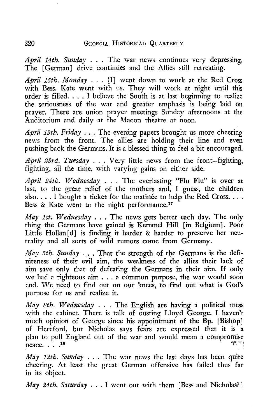*April 14tlo. Sunday* **. . . The war news continues very depressing. The [German] drive continues and the Allies still retreating.**

*April 15th. Monday* **. . . [I] went down to work at the Red Cross with Bess. Kate went with us. They will work at night until this order is filled. . . . I believe the South is at last beginning to realize the seriousness of the war and greater emphasis is being laid on prayer. There are union prayer meetings Sunday afternoons at the Auditorium and daily at the Macon theatre at noon.**

*April 19th. Friday . .* **. The evening papers brought us more cheering news from the front. The allies are holding their line and even pushing back the Germans. It is a blessed thing to feel a bit encouraged.**

*April 23rd. Tuesday . . .* **Very little news from the front—fighting, fighting, all the time, with varying gains on either side.**

*April 24th. Wednesday . . .* **The everlasting "Flu Flu" is over at last, to the great relief of the mothers and, I guess, the children** also. . . . I bought a ticket for the matinée to help the Red Cross. . . . **Bess & Kate went to the night performance.17**

*May 1st. Wednesday . . .* **The news gets better each day. The only thing the Germans have gained is Kemmel Hill [in Belgium]. Poor** Little Hollan<sup>[d]</sup> is finding it harder & harder to preserve her neu**trality and all sorts of wild rumors come from Germany.**

*May 5th. Sunday* **. . . That the strength of the Germans is the definiteness of their evil aim, the weakness of the allies their lack of aim save only that of defeating the Germans in their aim. If only we had a righteous aim . . . a common purpose, the war would soon** end. We need to find out on our knees, to find out what is God's **purpose for us and realize it.**

*May 8th. Wednesday . . .* **The English are having a political mess with the cabinet. There is talk of ousting Lloyd George. I haven't much opinion of George since his appointment of the Bp. [Bishop] of Hereford, but Nicholas says fears are expressed that it is a** plan to pull England out of the war and would mean a compromise peace. . . .<sup>18</sup>

*May 12th. Sunday . .* **. The war news the last days has been quite cheering. At least the great German offensive has failed thus far in its object.**

*May 24th. Saturday* **. . . I went out with them [Bess and Nicholas?]**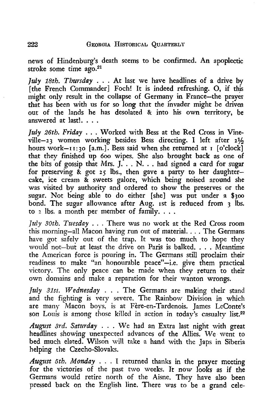**news of Hindenburg's death seems to be confirmed. An apoplectic stroke some time ago**.21

*July 18th. Thursday* **. . . At last we have headlines of a drive by [the French Commander] Foch! It is indeed refreshing. O, if this might only result in the collapse of Germany in France—the prayer that has been with us for so long that the invader might be driven out of the lands he has desolated & into his own territory, be answered at last!. . . .**

*July 26th. Friday . . .* **Worked with Bess at the Red Cross in Vineville**—23 **women working besides Bess directing. I left after** 2**% hours work—**11:30 **[a.m.]. Bess said when she returned at** 1 **[o'clock] that they finished up** 600 **wipes. She also brought back as one of the bits of gossip that Mrs. J. . . N. . . had signed a card for sugar for preserving & got** 25 **lbs., then gave a party to her daughtercake, ice cream & sweets galore, which being noised around she was visited by authority and ordered to show the preserves or the** sugar. Not being able to do either [she] was put under a \$300 **bond. The sugar allowance after Aug.** 1**st is reduced from** 3 **lbs. to 2 lbs. a month per member of family. . . .**

*July 30th. Tuesday . .* **. There was no work at the Red Cross room this morning—all Macon having run out of material. . . . The Germans have got safely out of the trap. It was too much to hope they would not—but at least the drive on Paris is balked. . . . Meantime the American force is pouring in. The Germans still proclaim their readiness to make "an honourable peace"—i.e. give them practical victory. The only peace can be made when they return to their own domains and make a reparation for their wanton wrongs.**

*July 31st. Wednesday . .* **. The Germans are making their stand and the fighting is very severe. The Rainbow Division in which are many Macon boys, is at Fere-en-Tardenois. James LeConte's son Louis is among those killed in action in today's casualty list**.22

*August 3rd. Saturday* **. . . W e had an Extra last night with great headlines showing unexpected advances of the Allies. We went to bed much elated. Wilson will take a hand with the Japs in Siberia helping the Czecho-Slovaks.**

*August 5th. Monday* **. . . I returned thanks in the prayer meeting for the victories of the past two weeks. It now looks as if the Germans would retire north of the Aisne. They have also been pressed back on the English line. There was to be a grand cele-**